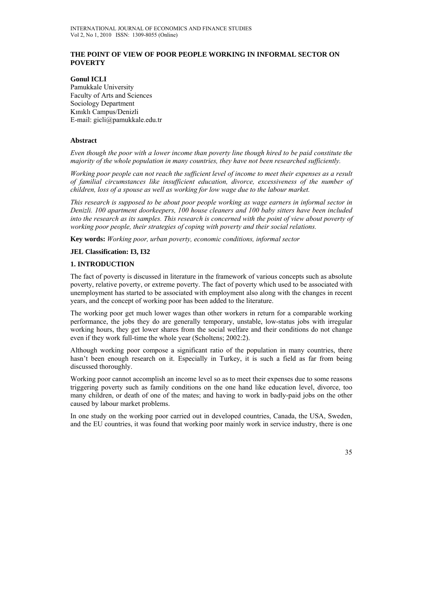# **THE POINT OF VIEW OF POOR PEOPLE WORKING IN INFORMAL SECTOR ON POVERTY**

**Gonul ICLI**  Pamukkale University Faculty of Arts and Sciences Sociology Department Kınıklı Campus/Denizli E-mail: gicli@pamukkale.edu.tr

### **Abstract**

*Even though the poor with a lower income than poverty line though hired to be paid constitute the majority of the whole population in many countries, they have not been researched sufficiently.* 

*Working poor people can not reach the sufficient level of income to meet their expenses as a result of familial circumstances like insufficient education, divorce, excessiveness of the number of children, loss of a spouse as well as working for low wage due to the labour market.* 

*This research is supposed to be about poor people working as wage earners in informal sector in Denizli. 100 apartment doorkeepers, 100 house cleaners and 100 baby sitters have been included*  into the research as its samples. This research is concerned with the point of view about poverty of *working poor people, their strategies of coping with poverty and their social relations.* 

**Key words:** *Working poor, urban poverty, economic conditions, informal sector*

#### **JEL Classification: I3, I32**

#### **1. INTRODUCTION**

The fact of poverty is discussed in literature in the framework of various concepts such as absolute poverty, relative poverty, or extreme poverty. The fact of poverty which used to be associated with unemployment has started to be associated with employment also along with the changes in recent years, and the concept of working poor has been added to the literature.

The working poor get much lower wages than other workers in return for a comparable working performance, the jobs they do are generally temporary, unstable, low-status jobs with irregular working hours, they get lower shares from the social welfare and their conditions do not change even if they work full-time the whole year (Scholtens; 2002:2).

Although working poor compose a significant ratio of the population in many countries, there hasn't been enough research on it. Especially in Turkey, it is such a field as far from being discussed thoroughly.

Working poor cannot accomplish an income level so as to meet their expenses due to some reasons triggering poverty such as family conditions on the one hand like education level, divorce, too many children, or death of one of the mates; and having to work in badly-paid jobs on the other caused by labour market problems.

In one study on the working poor carried out in developed countries, Canada, the USA, Sweden, and the EU countries, it was found that working poor mainly work in service industry, there is one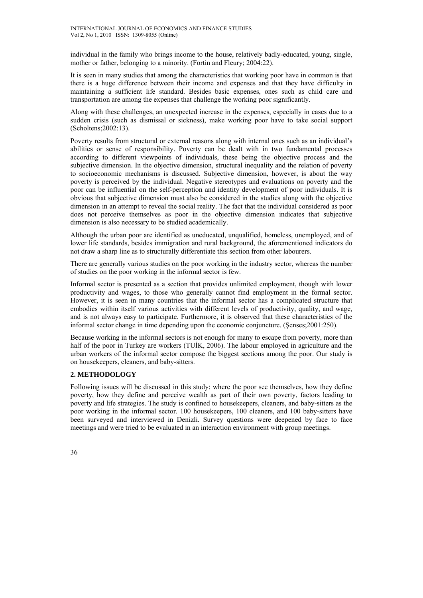individual in the family who brings income to the house, relatively badly-educated, young, single, mother or father, belonging to a minority. (Fortin and Fleury; 2004:22).

It is seen in many studies that among the characteristics that working poor have in common is that there is a huge difference between their income and expenses and that they have difficulty in maintaining a sufficient life standard. Besides basic expenses, ones such as child care and transportation are among the expenses that challenge the working poor significantly.

Along with these challenges, an unexpected increase in the expenses, especially in cases due to a sudden crisis (such as dismissal or sickness), make working poor have to take social support (Scholtens;2002:13).

Poverty results from structural or external reasons along with internal ones such as an individual's abilities or sense of responsibility. Poverty can be dealt with in two fundamental processes according to different viewpoints of individuals, these being the objective process and the subjective dimension. In the objective dimension, structural inequality and the relation of poverty to socioeconomic mechanisms is discussed. Subjective dimension, however, is about the way poverty is perceived by the individual. Negative stereotypes and evaluations on poverty and the poor can be influential on the self-perception and identity development of poor individuals. It is obvious that subjective dimension must also be considered in the studies along with the objective dimension in an attempt to reveal the social reality. The fact that the individual considered as poor does not perceive themselves as poor in the objective dimension indicates that subjective dimension is also necessary to be studied academically.

Although the urban poor are identified as uneducated, unqualified, homeless, unemployed, and of lower life standards, besides immigration and rural background, the aforementioned indicators do not draw a sharp line as to structurally differentiate this section from other labourers.

There are generally various studies on the poor working in the industry sector, whereas the number of studies on the poor working in the informal sector is few.

Informal sector is presented as a section that provides unlimited employment, though with lower productivity and wages, to those who generally cannot find employment in the formal sector. However, it is seen in many countries that the informal sector has a complicated structure that embodies within itself various activities with different levels of productivity, quality, and wage, and is not always easy to participate. Furthermore, it is observed that these characteristics of the informal sector change in time depending upon the economic conjuncture. (Şenses;2001:250).

Because working in the informal sectors is not enough for many to escape from poverty, more than half of the poor in Turkey are workers (TUİK, 2006). The labour employed in agriculture and the urban workers of the informal sector compose the biggest sections among the poor. Our study is on housekeepers, cleaners, and baby-sitters.

# **2. METHODOLOGY**

Following issues will be discussed in this study: where the poor see themselves, how they define poverty, how they define and perceive wealth as part of their own poverty, factors leading to poverty and life strategies. The study is confined to housekeepers, cleaners, and baby-sitters as the poor working in the informal sector. 100 housekeepers, 100 cleaners, and 100 baby-sitters have been surveyed and interviewed in Denizli. Survey questions were deepened by face to face meetings and were tried to be evaluated in an interaction environment with group meetings.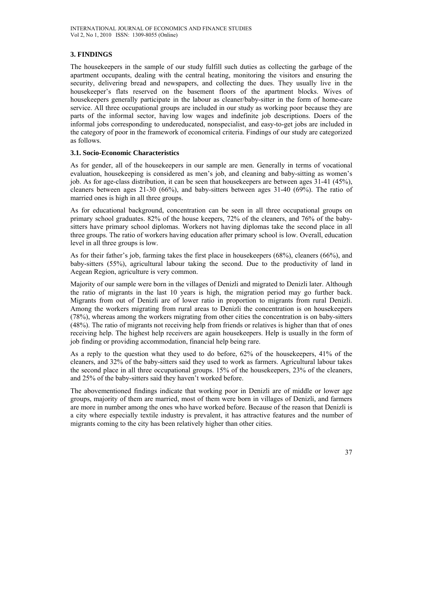# **3. FINDINGS**

The housekeepers in the sample of our study fulfill such duties as collecting the garbage of the apartment occupants, dealing with the central heating, monitoring the visitors and ensuring the security, delivering bread and newspapers, and collecting the dues. They usually live in the housekeeper's flats reserved on the basement floors of the apartment blocks. Wives of housekeepers generally participate in the labour as cleaner/baby-sitter in the form of home-care service. All three occupational groups are included in our study as working poor because they are parts of the informal sector, having low wages and indefinite job descriptions. Doers of the informal jobs corresponding to undereducated, nonspecialist, and easy-to-get jobs are included in the category of poor in the framework of economical criteria. Findings of our study are categorized as follows.

### **3.1. Socio-Economic Characteristics**

As for gender, all of the housekeepers in our sample are men. Generally in terms of vocational evaluation, housekeeping is considered as men's job, and cleaning and baby-sitting as women's job. As for age-class distribution, it can be seen that housekeepers are between ages 31-41 (45%), cleaners between ages 21-30 (66%), and baby-sitters between ages 31-40 (69%). The ratio of married ones is high in all three groups.

As for educational background, concentration can be seen in all three occupational groups on primary school graduates. 82% of the house keepers, 72% of the cleaners, and 76% of the babysitters have primary school diplomas. Workers not having diplomas take the second place in all three groups. The ratio of workers having education after primary school is low. Overall, education level in all three groups is low.

As for their father's job, farming takes the first place in housekeepers (68%), cleaners (66%), and baby-sitters (55%), agricultural labour taking the second. Due to the productivity of land in Aegean Region, agriculture is very common.

Majority of our sample were born in the villages of Denizli and migrated to Denizli later. Although the ratio of migrants in the last 10 years is high, the migration period may go further back. Migrants from out of Denizli are of lower ratio in proportion to migrants from rural Denizli. Among the workers migrating from rural areas to Denizli the concentration is on housekeepers (78%), whereas among the workers migrating from other cities the concentration is on baby-sitters (48%). The ratio of migrants not receiving help from friends or relatives is higher than that of ones receiving help. The highest help receivers are again housekeepers. Help is usually in the form of job finding or providing accommodation, financial help being rare.

As a reply to the question what they used to do before, 62% of the housekeepers, 41% of the cleaners, and 32% of the baby-sitters said they used to work as farmers. Agricultural labour takes the second place in all three occupational groups. 15% of the housekeepers, 23% of the cleaners, and 25% of the baby-sitters said they haven't worked before.

The abovementioned findings indicate that working poor in Denizli are of middle or lower age groups, majority of them are married, most of them were born in villages of Denizli, and farmers are more in number among the ones who have worked before. Because of the reason that Denizli is a city where especially textile industry is prevalent, it has attractive features and the number of migrants coming to the city has been relatively higher than other cities.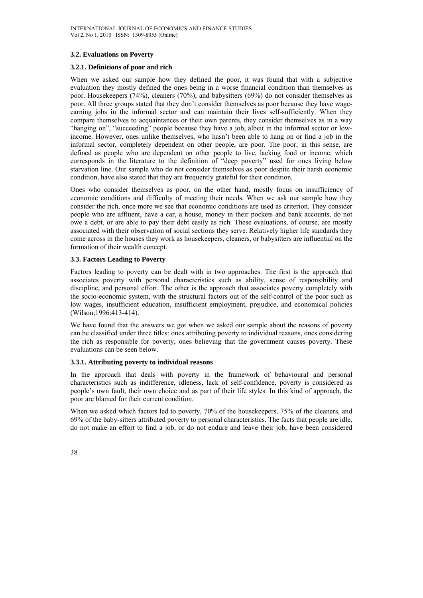#### **3.2. Evaluations on Poverty**

### **3.2.1. Definitions of poor and rich**

When we asked our sample how they defined the poor, it was found that with a subjective evaluation they mostly defined the ones being in a worse financial condition than themselves as poor. Housekeepers (74%), cleaners (70%), and babysitters (69%) do not consider themselves as poor. All three groups stated that they don't consider themselves as poor because they have wageearning jobs in the informal sector and can maintain their lives self-sufficiently. When they compare themselves to acquaintances or their own parents, they consider themselves as in a way "hanging on", "succeeding" people because they have a job, albeit in the informal sector or lowincome. However, ones unlike themselves, who hasn't been able to hang on or find a job in the informal sector, completely dependent on other people, are poor. The poor, in this sense, are defined as people who are dependent on other people to live, lacking food or income, which corresponds in the literature to the definition of "deep poverty" used for ones living below starvation line. Our sample who do not consider themselves as poor despite their harsh economic condition, have also stated that they are frequently grateful for their condition.

Ones who consider themselves as poor, on the other hand, mostly focus on insufficiency of economic conditions and difficulty of meeting their needs. When we ask our sample how they consider the rich, once more we see that economic conditions are used as criterion. They consider people who are affluent, have a car, a house, money in their pockets and bank accounts, do not owe a debt, or are able to pay their debt easily as rich. These evaluations, of course, are mostly associated with their observation of social sections they serve. Relatively higher life standards they come across in the houses they work as housekeepers, cleaners, or babysitters are influential on the formation of their wealth concept.

#### **3.3. Factors Leading to Poverty**

Factors leading to poverty can be dealt with in two approaches. The first is the approach that associates poverty with personal characteristics such as ability, sense of responsibility and discipline, and personal effort. The other is the approach that associates poverty completely with the socio-economic system, with the structural factors out of the self-control of the poor such as low wages, insufficient education, insufficient employment, prejudice, and economical policies (Wilson;1996:413-414).

We have found that the answers we got when we asked our sample about the reasons of poverty can be classified under three titles: ones attributing poverty to individual reasons, ones considering the rich as responsible for poverty, ones believing that the government causes poverty. These evaluations can be seen below.

# **3.3.1. Attributing poverty to individual reasons**

In the approach that deals with poverty in the framework of behavioural and personal characteristics such as indifference, idleness, lack of self-confidence, poverty is considered as people's own fault, their own choice and as part of their life styles. In this kind of approach, the poor are blamed for their current condition.

When we asked which factors led to poverty, 70% of the housekeepers, 75% of the cleaners, and 69% of the baby-sitters attributed poverty to personal characteristics. The facts that people are idle, do not make an effort to find a job, or do not endure and leave their job, have been considered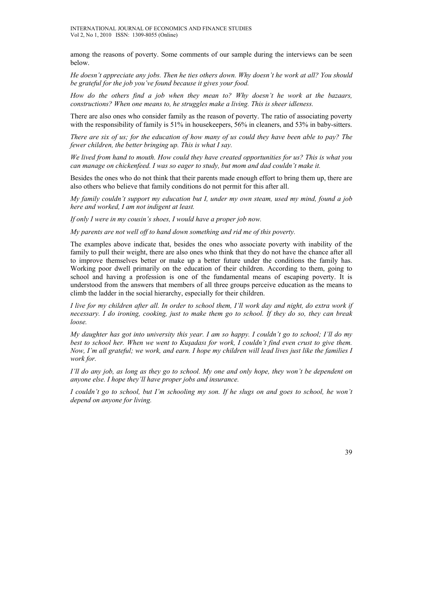among the reasons of poverty. Some comments of our sample during the interviews can be seen below.

*He doesn't appreciate any jobs. Then he ties others down. Why doesn't he work at all? You should be grateful for the job you've found because it gives your food.* 

*How do the others find a job when they mean to? Why doesn't he work at the bazaars, constructions? When one means to, he struggles make a living. This is sheer idleness.* 

There are also ones who consider family as the reason of poverty. The ratio of associating poverty with the responsibility of family is 51% in housekeepers, 56% in cleaners, and 53% in baby-sitters.

*There are six of us; for the education of how many of us could they have been able to pay? The fewer children, the better bringing up. This is what I say.* 

*We lived from hand to mouth. How could they have created opportunities for us? This is what you can manage on chickenfeed. I was so eager to study, but mom and dad couldn't make it.* 

Besides the ones who do not think that their parents made enough effort to bring them up, there are also others who believe that family conditions do not permit for this after all.

*My family couldn't support my education but I, under my own steam, used my mind, found a job here and worked, I am not indigent at least.* 

*If only I were in my cousin's shoes, I would have a proper job now.* 

*My parents are not well off to hand down something and rid me of this poverty.* 

The examples above indicate that, besides the ones who associate poverty with inability of the family to pull their weight, there are also ones who think that they do not have the chance after all to improve themselves better or make up a better future under the conditions the family has. Working poor dwell primarily on the education of their children. According to them, going to school and having a profession is one of the fundamental means of escaping poverty. It is understood from the answers that members of all three groups perceive education as the means to climb the ladder in the social hierarchy, especially for their children.

*I live for my children after all. In order to school them, I'll work day and night, do extra work if necessary. I do ironing, cooking, just to make them go to school. If they do so, they can break loose.* 

*My daughter has got into university this year. I am so happy. I couldn't go to school; I'll do my best to school her. When we went to Kuşadası for work, I couldn't find even crust to give them. Now, I'm all grateful; we work, and earn. I hope my children will lead lives just like the families I work for.* 

*I'll do any job, as long as they go to school. My one and only hope, they won't be dependent on anyone else. I hope they'll have proper jobs and insurance.* 

*I couldn't go to school, but I'm schooling my son. If he slugs on and goes to school, he won't depend on anyone for living.*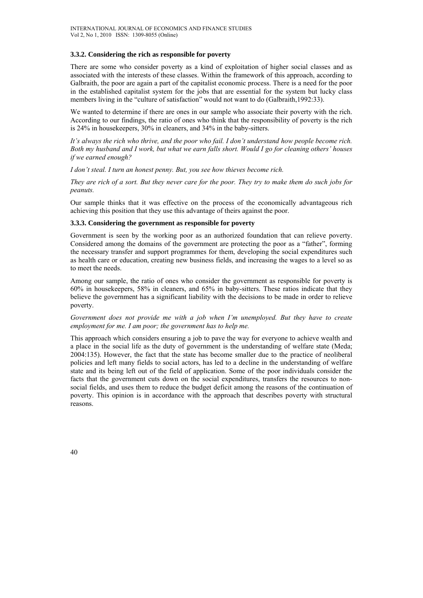#### **3.3.2. Considering the rich as responsible for poverty**

There are some who consider poverty as a kind of exploitation of higher social classes and as associated with the interests of these classes. Within the framework of this approach, according to Galbraith, the poor are again a part of the capitalist economic process. There is a need for the poor in the established capitalist system for the jobs that are essential for the system but lucky class members living in the "culture of satisfaction" would not want to do (Galbraith,1992:33).

We wanted to determine if there are ones in our sample who associate their poverty with the rich. According to our findings, the ratio of ones who think that the responsibility of poverty is the rich is 24% in housekeepers, 30% in cleaners, and 34% in the baby-sitters.

*It's always the rich who thrive, and the poor who fail. I don't understand how people become rich. Both my husband and I work, but what we earn falls short. Would I go for cleaning others' houses if we earned enough?* 

*I don't steal. I turn an honest penny. But, you see how thieves become rich.* 

*They are rich of a sort. But they never care for the poor. They try to make them do such jobs for peanuts.* 

Our sample thinks that it was effective on the process of the economically advantageous rich achieving this position that they use this advantage of theirs against the poor.

# **3.3.3. Considering the government as responsible for poverty**

Government is seen by the working poor as an authorized foundation that can relieve poverty. Considered among the domains of the government are protecting the poor as a "father", forming the necessary transfer and support programmes for them, developing the social expenditures such as health care or education, creating new business fields, and increasing the wages to a level so as to meet the needs.

Among our sample, the ratio of ones who consider the government as responsible for poverty is 60% in housekeepers, 58% in cleaners, and 65% in baby-sitters. These ratios indicate that they believe the government has a significant liability with the decisions to be made in order to relieve poverty.

#### *Government does not provide me with a job when I'm unemployed. But they have to create employment for me. I am poor; the government has to help me.*

This approach which considers ensuring a job to pave the way for everyone to achieve wealth and a place in the social life as the duty of government is the understanding of welfare state (Meda; 2004:135). However, the fact that the state has become smaller due to the practice of neoliberal policies and left many fields to social actors, has led to a decline in the understanding of welfare state and its being left out of the field of application. Some of the poor individuals consider the facts that the government cuts down on the social expenditures, transfers the resources to nonsocial fields, and uses them to reduce the budget deficit among the reasons of the continuation of poverty. This opinion is in accordance with the approach that describes poverty with structural reasons.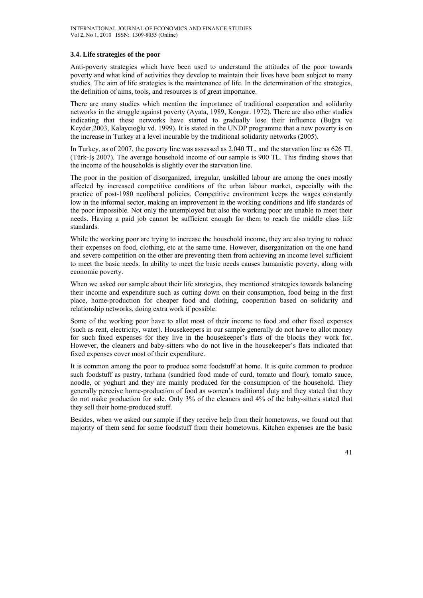#### **3.4. Life strategies of the poor**

Anti-poverty strategies which have been used to understand the attitudes of the poor towards poverty and what kind of activities they develop to maintain their lives have been subject to many studies. The aim of life strategies is the maintenance of life. In the determination of the strategies, the definition of aims, tools, and resources is of great importance.

There are many studies which mention the importance of traditional cooperation and solidarity networks in the struggle against poverty (Ayata, 1989, Kongar. 1972). There are also other studies indicating that these networks have started to gradually lose their influence (Buğra ve Keyder,2003, Kalaycıoğlu vd. 1999). It is stated in the UNDP programme that a new poverty is on the increase in Turkey at a level incurable by the traditional solidarity networks (2005).

In Turkey, as of 2007, the poverty line was assessed as 2.040 TL, and the starvation line as 626 TL (Türk-İş 2007). The average household income of our sample is 900 TL. This finding shows that the income of the households is slightly over the starvation line.

The poor in the position of disorganized, irregular, unskilled labour are among the ones mostly affected by increased competitive conditions of the urban labour market, especially with the practice of post-1980 neoliberal policies. Competitive environment keeps the wages constantly low in the informal sector, making an improvement in the working conditions and life standards of the poor impossible. Not only the unemployed but also the working poor are unable to meet their needs. Having a paid job cannot be sufficient enough for them to reach the middle class life standards.

While the working poor are trying to increase the household income, they are also trying to reduce their expenses on food, clothing, etc at the same time. However, disorganization on the one hand and severe competition on the other are preventing them from achieving an income level sufficient to meet the basic needs. In ability to meet the basic needs causes humanistic poverty, along with economic poverty.

When we asked our sample about their life strategies, they mentioned strategies towards balancing their income and expenditure such as cutting down on their consumption, food being in the first place, home-production for cheaper food and clothing, cooperation based on solidarity and relationship networks, doing extra work if possible.

Some of the working poor have to allot most of their income to food and other fixed expenses (such as rent, electricity, water). Housekeepers in our sample generally do not have to allot money for such fixed expenses for they live in the housekeeper's flats of the blocks they work for. However, the cleaners and baby-sitters who do not live in the housekeeper's flats indicated that fixed expenses cover most of their expenditure.

It is common among the poor to produce some foodstuff at home. It is quite common to produce such foodstuff as pastry, tarhana (sundried food made of curd, tomato and flour), tomato sauce, noodle, or yoghurt and they are mainly produced for the consumption of the household. They generally perceive home-production of food as women's traditional duty and they stated that they do not make production for sale. Only 3% of the cleaners and 4% of the baby-sitters stated that they sell their home-produced stuff.

Besides, when we asked our sample if they receive help from their hometowns, we found out that majority of them send for some foodstuff from their hometowns. Kitchen expenses are the basic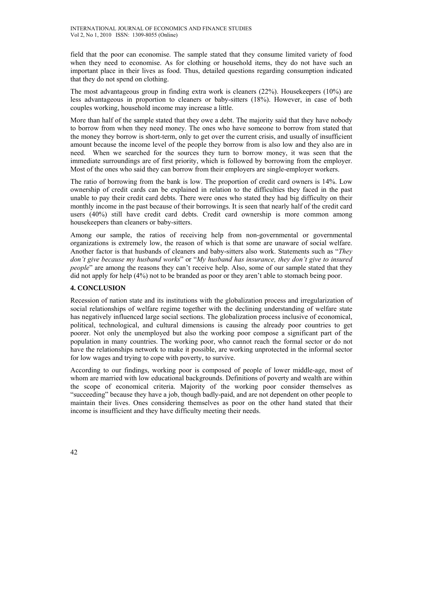field that the poor can economise. The sample stated that they consume limited variety of food when they need to economise. As for clothing or household items, they do not have such an important place in their lives as food. Thus, detailed questions regarding consumption indicated that they do not spend on clothing.

The most advantageous group in finding extra work is cleaners (22%). Housekeepers (10%) are less advantageous in proportion to cleaners or baby-sitters (18%). However, in case of both couples working, household income may increase a little.

More than half of the sample stated that they owe a debt. The majority said that they have nobody to borrow from when they need money. The ones who have someone to borrow from stated that the money they borrow is short-term, only to get over the current crisis, and usually of insufficient amount because the income level of the people they borrow from is also low and they also are in need. When we searched for the sources they turn to borrow money, it was seen that the immediate surroundings are of first priority, which is followed by borrowing from the employer. Most of the ones who said they can borrow from their employers are single-employer workers.

The ratio of borrowing from the bank is low. The proportion of credit card owners is 14%. Low ownership of credit cards can be explained in relation to the difficulties they faced in the past unable to pay their credit card debts. There were ones who stated they had big difficulty on their monthly income in the past because of their borrowings. It is seen that nearly half of the credit card users (40%) still have credit card debts. Credit card ownership is more common among housekeepers than cleaners or baby-sitters.

Among our sample, the ratios of receiving help from non-governmental or governmental organizations is extremely low, the reason of which is that some are unaware of social welfare. Another factor is that husbands of cleaners and baby-sitters also work. Statements such as "*They don't give because my husband works*" or "*My husband has insurance, they don't give to insured people*" are among the reasons they can't receive help. Also, some of our sample stated that they did not apply for help (4%) not to be branded as poor or they aren't able to stomach being poor.

# **4. CONCLUSION**

Recession of nation state and its institutions with the globalization process and irregularization of social relationships of welfare regime together with the declining understanding of welfare state has negatively influenced large social sections. The globalization process inclusive of economical, political, technological, and cultural dimensions is causing the already poor countries to get poorer. Not only the unemployed but also the working poor compose a significant part of the population in many countries. The working poor, who cannot reach the formal sector or do not have the relationships network to make it possible, are working unprotected in the informal sector for low wages and trying to cope with poverty, to survive.

According to our findings, working poor is composed of people of lower middle-age, most of whom are married with low educational backgrounds. Definitions of poverty and wealth are within the scope of economical criteria. Majority of the working poor consider themselves as "succeeding" because they have a job, though badly-paid, and are not dependent on other people to maintain their lives. Ones considering themselves as poor on the other hand stated that their income is insufficient and they have difficulty meeting their needs.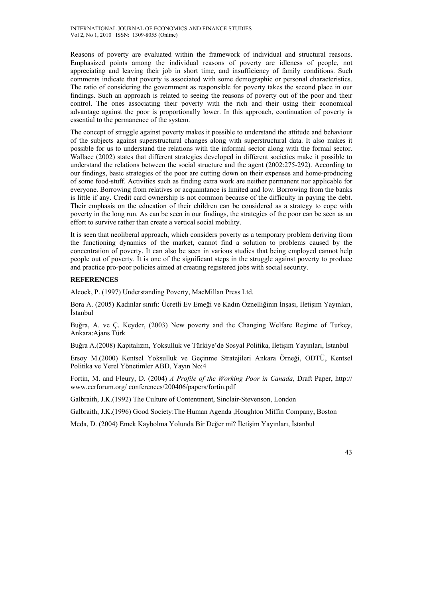Reasons of poverty are evaluated within the framework of individual and structural reasons. Emphasized points among the individual reasons of poverty are idleness of people, not appreciating and leaving their job in short time, and insufficiency of family conditions. Such comments indicate that poverty is associated with some demographic or personal characteristics. The ratio of considering the government as responsible for poverty takes the second place in our findings. Such an approach is related to seeing the reasons of poverty out of the poor and their control. The ones associating their poverty with the rich and their using their economical advantage against the poor is proportionally lower. In this approach, continuation of poverty is essential to the permanence of the system.

The concept of struggle against poverty makes it possible to understand the attitude and behaviour of the subjects against superstructural changes along with superstructural data. It also makes it possible for us to understand the relations with the informal sector along with the formal sector. Wallace (2002) states that different strategies developed in different societies make it possible to understand the relations between the social structure and the agent (2002:275-292). According to our findings, basic strategies of the poor are cutting down on their expenses and home-producing of some food-stuff. Activities such as finding extra work are neither permanent nor applicable for everyone. Borrowing from relatives or acquaintance is limited and low. Borrowing from the banks is little if any. Credit card ownership is not common because of the difficulty in paying the debt. Their emphasis on the education of their children can be considered as a strategy to cope with poverty in the long run. As can be seen in our findings, the strategies of the poor can be seen as an effort to survive rather than create a vertical social mobility.

It is seen that neoliberal approach, which considers poverty as a temporary problem deriving from the functioning dynamics of the market, cannot find a solution to problems caused by the concentration of poverty. It can also be seen in various studies that being employed cannot help people out of poverty. It is one of the significant steps in the struggle against poverty to produce and practice pro-poor policies aimed at creating registered jobs with social security.

# **REFERENCES**

Alcock, P. (1997) Understanding Poverty, MacMillan Press Ltd.

Bora A. (2005) Kadınlar sınıfı: Ücretli Ev Emeği ve Kadın Öznelliğinin İnşası, İletişim Yayınları, İstanbul

Buğra, A. ve Ç. Keyder, (2003) New poverty and the Changing Welfare Regime of Turkey, Ankara:Ajans Türk

Buğra A.(2008) Kapitalizm, Yoksulluk ve Türkiye'de Sosyal Politika, İletişim Yayınları, İstanbul

Ersoy M.(2000) Kentsel Yoksulluk ve Geçinme Stratejileri Ankara Örneği, ODTÜ, Kentsel Politika ve Yerel Yönetimler ABD, Yayın No:4

Fortin, M. and Fleury, D. (2004) *A Profile of the Working Poor in Canada*, Draft Paper, http:// www.cerforum.org/ conferences/200406/papers/fortin.pdf

Galbraith, J.K.(1992) The Culture of Contentment, Sinclair-Stevenson, London

Galbraith, J.K.(1996) Good Society:The Human Agenda ,Houghton Miffin Company, Boston

Meda, D. (2004) Emek Kaybolma Yolunda Bir Değer mi? İletişim Yayınları, İstanbul